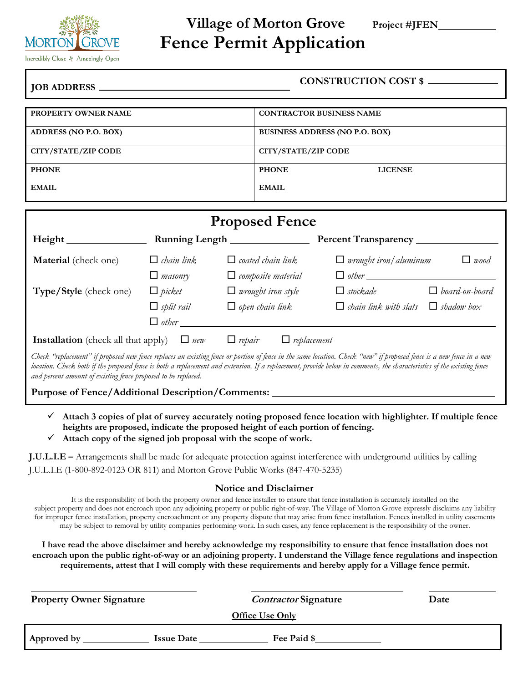

# **Village of Morton Grove Project #JFEN Fence Permit Application**

|                            | CONSTRUCTION COST \$                  |  |  |
|----------------------------|---------------------------------------|--|--|
|                            |                                       |  |  |
| <b>PROPERTY OWNER NAME</b> | <b>CONTRACTOR BUSINESS NAME</b>       |  |  |
| ADDRESS (NO P.O. BOX)      | <b>BUSINESS ADDRESS (NO P.O. BOX)</b> |  |  |
| <b>CITY/STATE/ZIP CODE</b> | CITY/STATE/ZIP CODE                   |  |  |
| <b>PHONE</b>               | <b>PHONE</b><br><b>LICENSE</b>        |  |  |
| <b>EMAIL</b>               | <b>EMAIL</b>                          |  |  |

| <b>Proposed Fence</b>                                                                                                                                                |                   |                                     |                              |                       |
|----------------------------------------------------------------------------------------------------------------------------------------------------------------------|-------------------|-------------------------------------|------------------------------|-----------------------|
| Height                                                                                                                                                               |                   |                                     | Percent Transparency_        |                       |
| Material (check one)                                                                                                                                                 | $\Box$ chain link | $\Box$ coated chain link            | $\Box$ wrought iron/aluminum | $\Box$ wood           |
|                                                                                                                                                                      | $\Box$ masonry    | $\Box$ composite material           | $\Box$ other                 |                       |
| Type/Style (check one)                                                                                                                                               | $\Box$ picket     | $\Box$ wrought iron style           | $\Box$ stockade              | $\Box$ board-on-board |
|                                                                                                                                                                      | $\Box$ split rail | $\Box$ open chain link              | $\Box$ chain link with slats | $\Box$ shadow box     |
|                                                                                                                                                                      | $\Box$ other      |                                     |                              |                       |
| <b>Installation</b> (check all that apply)                                                                                                                           | $\Box$ new        | $\Box$ replacement<br>$\Box$ repair |                              |                       |
| Check "replacement" if proposed new fence replaces an existing fence or portion of fence in the same location. Check "new" if proposed fence is a new fence in a new |                   |                                     |                              |                       |

location. Check both if the proposed fence is both a replacement and extension. If a replacement, provide below in comments, the characteristics of the existing fence *and percent amount of existing fence proposed to be replaced.*

**Purpose of Fence/Additional Description/Comments:** 

- ✓ **Attach 3 copies of plat of survey accurately noting proposed fence location with highlighter. If multiple fence heights are proposed, indicate the proposed height of each portion of fencing.**
- Attach copy of the signed job proposal with the scope of work.

| <b>J.U.L.I.E</b> – Arrangements shall be made for adequate protection against interference with underground utilities by calling |  |  |
|----------------------------------------------------------------------------------------------------------------------------------|--|--|
| J.U.L.I.E (1-800-892-0123 OR 811) and Morton Grove Public Works (847-470-5235)                                                   |  |  |

# **Notice and Disclaimer**

It is the responsibility of both the property owner and fence installer to ensure that fence installation is accurately installed on the subject property and does not encroach upon any adjoining property or public right-of-way. The Village of Morton Grove expressly disclaims any liability for improper fence installation, property encroachment or any property dispute that may arise from fence installation. Fences installed in utility easements may be subject to removal by utility companies performing work. In such cases, any fence replacement is the responsibility of the owner.

**I have read the above disclaimer and hereby acknowledge my responsibility to ensure that fence installation does not encroach upon the public right-of-way or an adjoining property. I understand the Village fence regulations and inspection requirements, attest that I will comply with these requirements and hereby apply for a Village fence permit.**

| <b>Property Owner Signature</b> |                   | <b>Contractor Signature</b><br>Office Use Only | Date |
|---------------------------------|-------------------|------------------------------------------------|------|
| Approved by                     | <b>Issue Date</b> | Fee Paid \$                                    |      |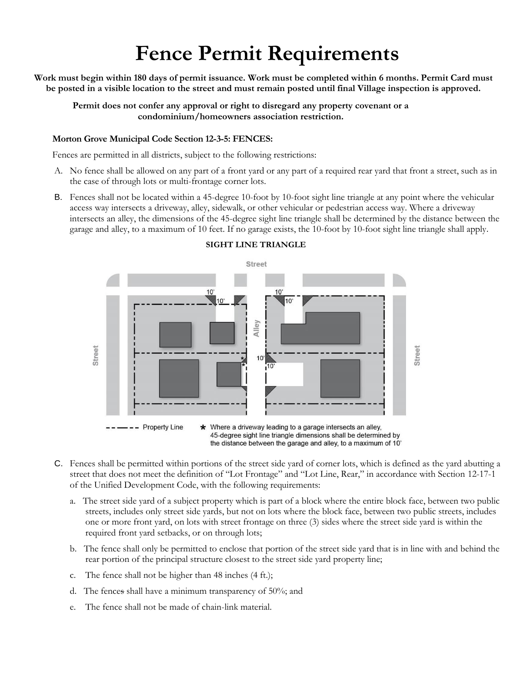# **Fence Permit Requirements**

**Work must begin within 180 days of permit issuance. Work must be completed within 6 months. Permit Card must be posted in a visible location to the street and must remain posted until final Village inspection is approved.**

**Permit does not confer any approval or right to disregard any property covenant or a condominium/homeowners association restriction.**

#### **Morton Grove Municipal Code Section 12-3-5: FENCES:**

Fences are permitted in all districts, subject to the following restrictions:

- A. No fence shall be allowed on any part of a front yard or any part of a required rear yard that front a street, such as in the case of through lots or multi-frontage corner lots.
- B. Fences shall not be located within a 45-degree 10-foot by 10-foot sight line triangle at any point where the vehicular access way intersects a driveway, alley, sidewalk, or other vehicular or pedestrian access way. Where a driveway intersects an alley, the dimensions of the 45-degree sight line triangle shall be determined by the distance between the garage and alley, to a maximum of 10 feet. If no garage exists, the 10-foot by 10-foot sight line triangle shall apply.



#### **SIGHT LINE TRIANGLE**

the distance between the garage and alley, to a maximum of 10'

- C. Fences shall be permitted within portions of the street side yard of corner lots, which is defined as the yard abutting a street that does not meet the definition of "Lot Frontage" and "Lot Line, Rear," in accordance with Section 12-17-1 of the Unified Development Code, with the following requirements:
	- a. The street side yard of a subject property which is part of a block where the entire block face, between two public streets, includes only street side yards, but not on lots where the block face, between two public streets, includes one or more front yard, on lots with street frontage on three (3) sides where the street side yard is within the required front yard setbacks, or on through lots;
	- b. The fence shall only be permitted to enclose that portion of the street side yard that is in line with and behind the rear portion of the principal structure closest to the street side yard property line;
	- c. The fence shall not be higher than 48 inches (4 ft.);
	- d. The fences shall have a minimum transparency of 50%; and
	- e. The fence shall not be made of chain-link material.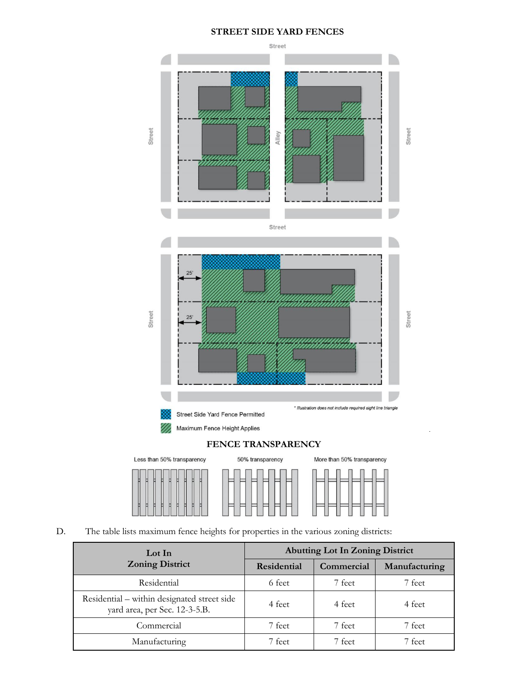## **STREET SIDE YARD FENCES**



## D. The table lists maximum fence heights for properties in the various zoning districts:

| Lot In<br><b>Zoning District</b>                                             | <b>Abutting Lot In Zoning District</b> |            |               |
|------------------------------------------------------------------------------|----------------------------------------|------------|---------------|
|                                                                              | Residential                            | Commercial | Manufacturing |
| Residential                                                                  | 6 feet                                 | 7 feet     | 7 feet        |
| Residential – within designated street side<br>yard area, per Sec. 12-3-5.B. | 4 feet                                 | 4 feet     | 4 feet        |
| Commercial                                                                   | 7 feet                                 | 7 feet     | 7 feet        |
| Manufacturing                                                                | 7 feet                                 | 7 feet.    | 7 feet        |